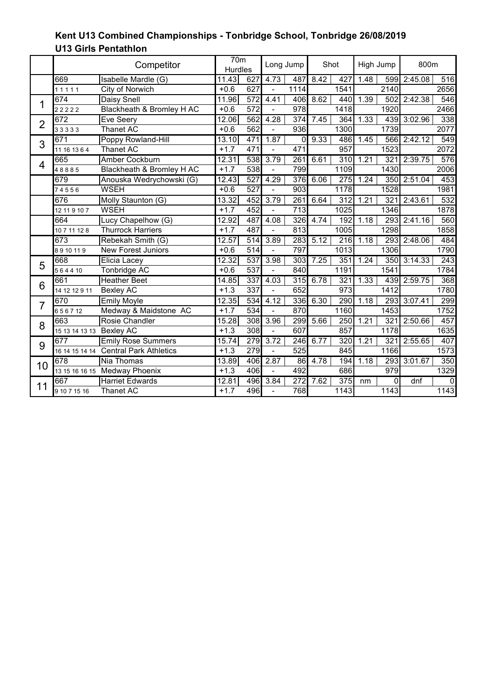|                | Competitor     |                                       | 70 <sub>m</sub><br><b>Hurdles</b> |                  | Long Jump                |                  | Shot |                  | High Jump |                   | 800m    |           |
|----------------|----------------|---------------------------------------|-----------------------------------|------------------|--------------------------|------------------|------|------------------|-----------|-------------------|---------|-----------|
|                | 669            | Isabelle Mardle (G)                   | 11.43                             | 627              | 4.73                     | 487              | 8.42 | 427              | 1.48      | 599               | 2:45.08 | 516       |
|                | 11111          | City of Norwich                       | $+0.6$                            | 627              | $\overline{a}$           | 1114             |      | 1541             |           | 2140              |         | 2656      |
| 1              | 674            | Daisy Snell                           | 11.96                             | 572              | 4.41                     | 406              | 8.62 | 440              | 1.39      | 502               | 2:42.38 | 546       |
|                | 22222          | Blackheath & Bromley H AC             | $+0.6$                            | 572              |                          | 978              |      | 1418             |           | 1920              |         | 2466      |
| $\overline{2}$ | 672            | Eve Seery                             | 12.06                             | 562              | 4.28                     | 374              | 7.45 | 364              | 1.33      | 439               | 3:02.96 | 338       |
|                | 33333          | <b>Thanet AC</b>                      | $+0.6$                            | 562              | $\frac{1}{2}$            | $\overline{936}$ |      | 1300             |           | 1739              |         | 2077      |
| 3              | 671            | Poppy Rowland-Hill                    | 13.10                             | 471              | 1.87                     | 0                | 9.33 | 486              | 1.45      | 566               | 2:42.12 | 549       |
|                | 11 16 13 6 4   | Thanet AC                             | $+1.7$                            | 471              |                          | 471              |      | $\overline{957}$ |           | 1523              |         | 2072      |
| $\overline{4}$ | 665            | Amber Cockburn                        | 12.31                             | 538              | 3.79                     | 261              | 6.61 | 310              | 1.21      | 321               | 2:39.75 | 576       |
|                | 48885          | Blackheath & Bromley H AC             | $+1.7$                            | 538              | $\overline{\phantom{a}}$ | 799              |      | 1109             |           | 1430              |         | 2006      |
|                | 679            | Anouska Wedrychowski (G)              | 12.43                             | 527              | 4.29                     | $\overline{376}$ | 6.06 | 275              | 1.24      | 350               | 2:51.04 | 453       |
|                | 74556          | <b>WSEH</b>                           | $+0.6$                            | 527              | $\overline{\phantom{a}}$ | 903              |      | 1178             |           | 1528              |         | 1981      |
|                | 676            | Molly Staunton (G)                    | 13.32                             | 452              | 3.79                     | 261              | 6.64 | $\overline{312}$ | 1.21      | 321               | 2:43.61 | 532       |
|                | 12 11 9 10 7   | <b>WSEH</b>                           | $+1.7$                            | 452              |                          | $\overline{713}$ |      | 1025             |           | 1346              |         | 1878      |
|                | 664            | Lucy Chapelhow (G)                    | 12.92                             | 487              | 4.08                     | 326              | 4.74 | 192              | 1.18      | 293               | 2:41.16 | 560       |
|                | 10 7 11 12 8   | <b>Thurrock Harriers</b>              | $+1.7$                            | 487              | $\overline{a}$           | $\overline{813}$ |      | 1005             |           | 1298              |         | 1858      |
|                | 673            | Rebekah Smith (G)                     | 12.57                             | 514              | 3.89                     | 283              | 5.12 | 216              | 1.18      | 293               | 2:48.06 | 484       |
|                | 8910119        | <b>New Forest Juniors</b>             | $+0.6$                            | 514              |                          | 797              |      | 1013             |           | 1306              |         | 1790      |
| 5              | 668            | Elicia Lacey                          | 12.32                             | 537              | 3.98                     | 303              | 7.25 | 351              | 1.24      | 350               | 3:14.33 | 243       |
|                | 564410         | Tonbridge AC                          | $+0.6$                            | 537              |                          | 840              |      | 1191             |           | 1541              |         | 1784      |
| 6              | 661            | <b>Heather Beet</b>                   | 14.85                             | 337              | 4.03                     | 315              | 6.78 | 321              | 1.33      | 439               | 2:59.75 | 368       |
|                | 14 12 12 9 11  | <b>Bexley AC</b>                      | $+1.3$                            | 337              | $\overline{\phantom{a}}$ | 652              |      | 973              |           | 1412              |         | 1780      |
| $\overline{7}$ | 670            | <b>Emily Moyle</b>                    | 12.35                             | 534              | 4.12                     | 336              | 6.30 | 290              | 1.18      | 293               | 3:07.41 | 299       |
|                | 656712         | Medway & Maidstone AC                 | $+1.7$                            | $\overline{534}$ |                          | 870              |      | 1160             |           | 1453              |         | 1752      |
| 8              | 663            | Rosie Chandler                        | 15.28                             | 308              | 3.96                     | 299              | 5.66 | 250              | 1.21      | 321               | 2:50.66 | 457       |
|                | 15 13 14 13 13 | <b>Bexley AC</b>                      | $+1.3$                            | $\overline{308}$ | $\overline{a}$           | 607              |      | 857              |           | 1178              |         | 1635      |
| 9              | 677            | <b>Emily Rose Summers</b>             | 15.74                             | 279              | 3.72                     | 246              | 6.77 | 320              | 1.21      | 321               | 2:55.65 | 407       |
|                |                | 16 14 15 14 14 Central Park Athletics | $+1.3$                            | $\overline{279}$ |                          | $\overline{525}$ |      | 845              |           | $1\overline{166}$ |         | 1573      |
| 10             | 678            | Nia Thomas                            | 13.89                             | 406              | 2.87                     | 86               | 4.78 | 194              | 1.18      | 293               | 3:01.67 | 350       |
|                |                | 13 15 16 16 15 Medway Phoenix         | $+1.3$                            | 406              | $\frac{1}{2}$            | 492              |      | 686              |           | 979               |         | 1329      |
| 11             | 667            | <b>Harriet Edwards</b>                | 12.81                             | 496              | 3.84                     | 272              | 7.62 | 375              | nm        | $\Omega$          | dnf     | $\pmb{0}$ |
|                | 9 10 7 15 16   | <b>Thanet AC</b>                      | $+1.7$                            | 496              |                          | 768              |      | 1143             |           | 1143              |         | 1143      |

## **U13 Girls Pentathlon Kent U13 Combined Championships - Tonbridge School, Tonbridge 26/08/2019**